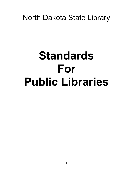## North Dakota State Library

# **Standards For Public Libraries**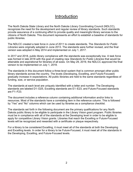#### **Introduction**

The North Dakota State Library and the North Dakota Library Coordinating Council (NDLCC), recognizes the need for the development and regular review of library standards. Such standards provide assurance of a continuing effort to provide quality and meaningful library services to the citizens of North Dakota. This document represents an effort to establish a baseline of standards for public libraries.

The NDLCC created a task force in June of 2011 to create standards. The *Standards for Public Libraries* were originally adopted in June 2013. The standards were further revised, and the final version was adopted in May 2014 and implemented on July 1, 2017.

In 2017 and 2018, public library compliance with the standards was exceptionally low. A task force was formed in late 2018 with the goal of creating new *Standards for Public Libraries* that would be attainable and aspirational for libraries of all sizes. On May 29, 2019, the NDLCC approved the final version to be implemented on July 1, 2019.

The standards in this document follow a three-level system that is common amongst other public library standards across the country. The levels (Developing, Excelling, and Future-Focused) gradually increase in expectations. All public libraries are held to the same standards regardless of funding, size, or service population.

The standards at each level are uniquely identified with a letter and number. The Developing standards are labeled D1–D25, Excelling standards are E1–E23, and Future-Focused standards are F1–F23.

The document includes a reference column containing additional information and/or links to resources. Most of the standards have a correlating item in the reference column. This is followed by "Yes" and "No" columns which can be used by libraries as a compliance checklist.

The standards set forth in the following document are the primary qualifications for any North Dakota public library to be eligible to participate in the Library Vision grant program. Public libraries must be in compliance with all of the standards at the Developing level in order to be eligible to apply for competitive Library Vision grants. Libraries that reach the Excelling or Future-Focused levels will be recognized and rewarded with a certificate or plaque respectively.

For a library to be considered Excelling, it must meet all of the standards at both the Developing and Excelling levels. In order for a library to be Future-Focused, it must meet all of the standards in the Developing, Excelling, and Future-Focused levels.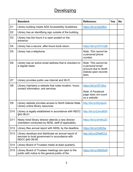## **Developing**

|                 | <b>Standard:</b>                                                                                                           | <b>Reference:</b>                                                                                | <b>Yes</b> | <b>No</b> |
|-----------------|----------------------------------------------------------------------------------------------------------------------------|--------------------------------------------------------------------------------------------------|------------|-----------|
| D <sub>1</sub>  | Library building meets ADA Accessibility Guidelines.                                                                       | https://bit.ly/3ai28km                                                                           |            |           |
| D <sub>2</sub>  | Library has an identifying sign outside of the building.                                                                   |                                                                                                  |            |           |
| D <sub>3</sub>  | Library has the hours it is open posted on the<br>entrance.                                                                |                                                                                                  |            |           |
| D <sub>4</sub>  | Library has a secure, after-hours book return.                                                                             | https://bit.ly/37hYodE                                                                           |            |           |
| D <sub>5</sub>  | Library has a telephone.                                                                                                   | Note: This cannot be<br>a personal phone<br>number.                                              |            |           |
| D <sub>6</sub>  | Library has an active email address that is checked on<br>a regular basis.                                                 | Note: This cannot be<br>a personal email<br>account due to North<br>Dakota open records<br>laws. |            |           |
| D7              | Library provides public use internet and Wi-Fi.                                                                            |                                                                                                  |            |           |
| D <sub>8</sub>  | Library maintains a website that notes location, hours,<br>contact information, and services.                              | https://bit.ly/3fTJ9vz<br>Note: A Facebook<br>page does not count<br>as a website.               |            |           |
| D <sub>9</sub>  | Library website provides access to North Dakota State<br>Library online library resources.                                 | http://bit.ly/2Qy3psX                                                                            |            |           |
| D <sub>10</sub> | Library is legally established in accordance with NDCC<br>§40-38-01.                                                       | http://bit.ly/2JmuM2A                                                                            |            |           |
| D <sub>11</sub> | Newly hired library director attends a new director<br>orientation conducted by NDSL staff (if applicable).                | https://bit.ly/3m9luZ3                                                                           |            |           |
| D <sub>12</sub> | Library files annual report with NDSL by the deadline.                                                                     | https://bit.ly/2JIEZjw                                                                           |            |           |
| D <sub>13</sub> | Library develops and distributes an annual report of<br>services to local government in accordance with<br>NDCC §40-38-09. | http://bit.ly/2RsMCUj                                                                            |            |           |
| D <sub>14</sub> | Library Board of Trustees meets at least quarterly.                                                                        |                                                                                                  |            |           |
| D <sub>15</sub> | Library Board of Trustees meetings are open to the<br>public with notice to the general public of the                      | https://bit.ly/36bfSsW                                                                           |            |           |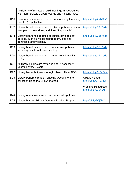|                 | availability of minutes of said meetings in accordance<br>with North Dakota's open records and meeting laws.                     |                                                     |  |
|-----------------|----------------------------------------------------------------------------------------------------------------------------------|-----------------------------------------------------|--|
| D <sub>16</sub> | New trustees receive a formal orientation by the library<br>director (if applicable).                                            | https://bit.ly/2VbMfkY                              |  |
| D <sub>17</sub> | Library board has adopted circulation policies, such as<br>loan periods, overdues, and fines (if applicable).                    | https://bit.ly/36d7ads                              |  |
| D <sub>18</sub> | Library board has adopted collection development<br>policies, such as intellectual freedom, gifts and<br>donations, and weeding. | https://bit.ly/36d7ads                              |  |
| D <sub>19</sub> | Library board has adopted computer use policies<br>including an internet access policy.                                          | https://bit.ly/36d7ads                              |  |
| D <sub>20</sub> | Library board has adopted a patron confidentiality<br>policy.                                                                    | https://bit.ly/36d7ads                              |  |
| D <sub>21</sub> | All library policies are reviewed and, if necessary,<br>updated every 3 years.                                                   |                                                     |  |
| D <sub>22</sub> | Library has a 3-5 year strategic plan on file at NDSL.                                                                           | https://bit.ly/3kDq5oe                              |  |
| D <sub>23</sub> | Library performs regular, ongoing weeding of the<br>collection using the CREW method.                                            | <b>CREW Manual:</b><br>http://bit.ly/2Trq7zW        |  |
|                 |                                                                                                                                  | <b>Weeding Resources:</b><br>https://bit.ly/39nrA5t |  |
| D <sub>24</sub> | Library offers Interlibrary Loan services to patrons.                                                                            |                                                     |  |
| D <sub>25</sub> | Library has a children's Summer Reading Program.                                                                                 | http://bit.ly/2Cj6lkC                               |  |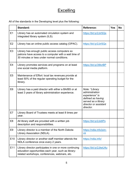## **Excelling**

All of the standards in the Developing level plus the following:

|                | Standard:                                                                                                                                                        | <b>Reference:</b>                                                                                                                    | <b>Yes</b> | <b>No</b> |
|----------------|------------------------------------------------------------------------------------------------------------------------------------------------------------------|--------------------------------------------------------------------------------------------------------------------------------------|------------|-----------|
| E1             | Library has an automated circulation system and<br>integrated library system (ILS).                                                                              | https://bit.ly/2JirSQx                                                                                                               |            |           |
| E <sub>2</sub> | Library has an online public access catalog (OPAC).                                                                                                              | https://bit.ly/2JirSQx                                                                                                               |            |           |
| E <sub>3</sub> | Library has enough public access computers so<br>patrons have access to a computer with a wait time of<br>30 minutes or less under normal conditions.            |                                                                                                                                      |            |           |
| E4             | Library promotes services and programs on at least<br>one social media platform.                                                                                 | https://bit.ly/39lcrBP                                                                                                               |            |           |
| E <sub>5</sub> | Maintenance of Effort: local tax revenues provide at<br>least 50% of the regular operating budget for the<br>library.                                            |                                                                                                                                      |            |           |
| E <sub>6</sub> | Library has a paid director with either a BA/BS or at<br>least 3 years of library administration experience.                                                     | Note: "Library<br>administration<br>experience" is<br>defined as having<br>served as a library<br>director or assistant<br>director. |            |           |
| E7             | Library Board of Trustees meets at least 8 times per<br>year.                                                                                                    |                                                                                                                                      |            |           |
| E <sub>8</sub> | All library staff are provided with a written job<br>description and responsibilities.                                                                           | https://bit.ly/2JidIPx                                                                                                               |            |           |
| E <sub>9</sub> | Library director is a member of the North Dakota<br>Library Association (NDLA).                                                                                  | https://ndla.info/join-<br>$us$                                                                                                      |            |           |
| E10            | Library director or another staff member attends the<br>NDLA conference once every 2 years.                                                                      | https://ndla.info/                                                                                                                   |            |           |
| E11            | Library director participates in one or more continuing<br>education opportunities each year, such as library-<br>related workshops, conferences, webinars, etc. | https://bit.ly/2JkeU4u                                                                                                               |            |           |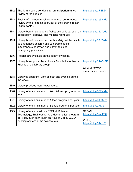| E <sub>12</sub> | The library board conducts an annual performance<br>review of the director.                                                                                                                   | https://bit.ly/2JISDDi                                                    |  |
|-----------------|-----------------------------------------------------------------------------------------------------------------------------------------------------------------------------------------------|---------------------------------------------------------------------------|--|
| E <sub>13</sub> | Each staff member receives an annual performance<br>review by their direct supervisor or the library director<br>(if applicable).                                                             | https://bit.ly/3q92hdq                                                    |  |
| E <sub>14</sub> | Library board has adopted facility use policies, such as<br>accessibility, displays, and meeting room use.                                                                                    | https://bit.ly/36d7ads                                                    |  |
| E <sub>15</sub> | Library board has adopted public safety policies, such<br>as unattended children and vulnerable adults,<br>inappropriate behavior, and patron-focused<br>emergency guidelines.                | https://bit.ly/36d7ads                                                    |  |
| E16             | Policies are available on the library's website.                                                                                                                                              |                                                                           |  |
| E <sub>17</sub> | Library is supported by a Library Foundation or has a<br>Friends of the Library group.                                                                                                        | https://bit.ly/2JeOvFE<br>Note: $A\,501(c)(3)$<br>status is not required. |  |
| E18             | Library is open until 7pm at least one evening during<br>the week.                                                                                                                            |                                                                           |  |
| E <sub>19</sub> | Library provides local newspapers.                                                                                                                                                            |                                                                           |  |
| E20             | Library offers a minimum of 24 children's programs per<br>year.                                                                                                                               | https://bit.ly/36f3nMV                                                    |  |
| E21             | Library offers a minimum of 4 teen programs per year.                                                                                                                                         | https://bit.ly/3fFz8Sv                                                    |  |
| E22             | Library offers a minimum of 8 adult programs per year.                                                                                                                                        | https://bit.ly/2KMic1f                                                    |  |
| E23             | Library offers at least one STEAM (Science,<br>Technology, Engineering, Art, Mathematics) program<br>per year, such as through an Hour of Code, LEGO<br>building contest, slime science, etc. | STEAM:<br>https://bit.ly/3mgF3j9<br>Coding:<br>https://bit.ly/3lfzJLR     |  |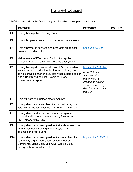#### Future-Focused

All of the standards in the Developing and Excelling levels plus the following:

|                 | <b>Standard:</b>                                                                                                                                                                                                                                                | <b>Reference:</b>                                                                                                                                              | <b>Yes</b> | <b>No</b> |
|-----------------|-----------------------------------------------------------------------------------------------------------------------------------------------------------------------------------------------------------------------------------------------------------------|----------------------------------------------------------------------------------------------------------------------------------------------------------------|------------|-----------|
| F <sub>1</sub>  | Library has a public meeting room.                                                                                                                                                                                                                              |                                                                                                                                                                |            |           |
| F <sub>2</sub>  | Library is open a minimum of 4 hours on the weekend.                                                                                                                                                                                                            |                                                                                                                                                                |            |           |
| F <sub>3</sub>  | Library promotes services and programs on at least<br>two social media platforms.                                                                                                                                                                               | https://bit.ly/39lcrBP                                                                                                                                         |            |           |
| F4              | Maintenance of Effort: local funding for regular<br>operating budget matches or exceeds prior year's.                                                                                                                                                           |                                                                                                                                                                |            |           |
| F <sub>5</sub>  | Library has a paid director with an MLS or equivalent<br>from an ALA-accredited institution; or, if library's legal<br>service area is 5,000 or less, library has a paid director<br>with a BA/BS and at least 3 years of library<br>administration experience. | https://bit.ly/3r8gRon<br>Note: "Library<br>administration<br>experience" is<br>defined as having<br>served as a library<br>director or assistant<br>director. |            |           |
| F <sub>6</sub>  | Library Board of Trustees meets monthly.                                                                                                                                                                                                                        |                                                                                                                                                                |            |           |
| F7              | Library director is a member of a national or regional<br>library organization, such as ALA, MPLA, ARSL, etc.                                                                                                                                                   |                                                                                                                                                                |            |           |
| F <sub>8</sub>  | Library director attends one national or regional<br>professional library conference every 3 years, such as<br>ALA, MPLA, ARSL, etc.                                                                                                                            |                                                                                                                                                                |            |           |
| F <sub>9</sub>  | Library director or board president attends at least one<br>regular business meeting of their city/county<br>commission every quarter.                                                                                                                          |                                                                                                                                                                |            |           |
| F <sub>10</sub> | Library director or board president is a member of a<br>community organization, such as Chamber of<br>Commerce, Lions Club, Elks Club, Eagles Club,<br>Rotary, school board, 4H, etc.                                                                           | https://bit.ly/3nRaZhJ                                                                                                                                         |            |           |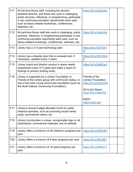| F11             | All full-time library staff, including the director,<br>assistant director, and those who work in cataloging,<br>public services, reference, or programming, participate<br>in two continuing education opportunities each year,<br>such as library-related workshops, conferences,<br>webinars, etc. | https://bit.ly/2JkeU4u                                                                                                                        |  |
|-----------------|-------------------------------------------------------------------------------------------------------------------------------------------------------------------------------------------------------------------------------------------------------------------------------------------------------|-----------------------------------------------------------------------------------------------------------------------------------------------|--|
| F <sub>12</sub> | All part-time library staff who work in cataloging, public<br>services, reference, or programming participate in one<br>continuing education opportunity each year, such as<br>library-related workshops, conferences, webinars, etc.                                                                 | https://bit.ly/2JkeU4u                                                                                                                        |  |
| F <sub>13</sub> | Library has a 3-5 year technology plan.                                                                                                                                                                                                                                                               | https://bit.ly/3OThmf<br>$\underline{\mathsf{W}}$                                                                                             |  |
| F14             | Library has a disaster plan that is reviewed and, if<br>necessary, updated every 3 years.                                                                                                                                                                                                             | https://bit.ly/3OVOhA<br>$\underline{8}$                                                                                                      |  |
| F <sub>15</sub> | Library board and director conduct a space needs<br>assessment every 3-5 years and make a report of<br>findings to primary funding entity.                                                                                                                                                            | https://bit.ly/3s9Eug1                                                                                                                        |  |
| F <sub>16</sub> | Library is supported by a Library Foundation or<br>Friends of the Library group with a $501(c)(3)$ status, or<br>has a fund with a local community foundation (such as<br>the North Dakota Community Foundation).                                                                                     | Friends of the<br>Library/ Foundation:<br>https://bit.ly/2JeOvFE<br>501(c)(3) Status:<br>https://bit.ly/36brDj2<br>NDCF:<br>https://ndcf.net/ |  |
| F <sub>17</sub> | Library's annual budget allocates funds for public<br>relations activities, such as promoting social media<br>posts, promotional videos, etc.                                                                                                                                                         |                                                                                                                                               |  |
| F <sub>18</sub> | Library incorporates a unique, recognizable logo on all<br>publications, promotional materials, and its website.                                                                                                                                                                                      |                                                                                                                                               |  |
| F <sub>19</sub> | Library offers a minimum of 48 children's programs per<br>year.                                                                                                                                                                                                                                       | https://bit.ly/36f3nMV                                                                                                                        |  |
| F <sub>20</sub> | Library offers a minimum of 8 teen programs per year.                                                                                                                                                                                                                                                 | https://bit.ly/3fFz8Sv                                                                                                                        |  |
| F <sub>21</sub> | Library offers a minimum of 16 adult programs per<br>year.                                                                                                                                                                                                                                            | https://bit.ly/2KMic1f                                                                                                                        |  |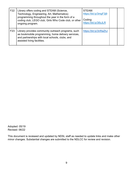| F22             | Library offers coding and STEAM (Science,<br>Technology, Engineering, Art, Mathematics)<br>programming throughout the year in the form of a<br>coding club, LEGO club, Girls Who Code club, or other<br>ongoing program. | STEAM:<br>https://bit.ly/3mgF3j9<br>Coding:<br>https://bit.ly/3lfzJLR |  |
|-----------------|--------------------------------------------------------------------------------------------------------------------------------------------------------------------------------------------------------------------------|-----------------------------------------------------------------------|--|
| F <sub>23</sub> | Library provides community outreach programs, such<br>as bookmobile programming, home delivery services,<br>and partnerships with local schools, clubs, and<br>assisted living facilities.                               | https://bit.ly/3nRaZhJ                                                |  |

Adopted: 05/19 Revised: 06/22

This document is reviewed and updated by NDSL staff as needed to update links and make other minor changes. Substantial changes are submitted to the NDLCC for review and revision.